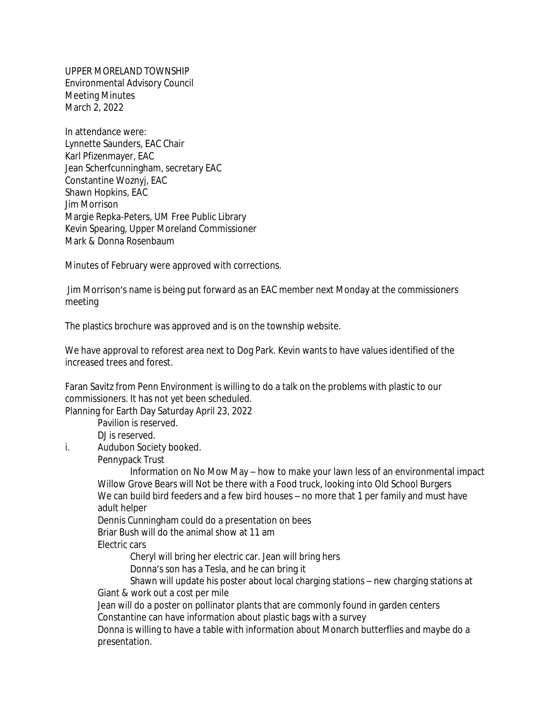UPPER MORELAND TOWNSHIP Environmental Advisory Council Meeting Minutes March 2, 2022

In attendance were: Lynnette Saunders, EAC Chair Karl Pfizenmayer, EAC Jean Scherfcunningham, secretary EAC Constantine Woznyj, EAC Shawn Hopkins, EAC Jim Morrison Margie Repka-Peters, UM Free Public Library Kevin Spearing, Upper Moreland Commissioner Mark & Donna Rosenbaum

Minutes of February were approved with corrections.

 Jim Morrison's name is being put forward as an EAC member next Monday at the commissioners meeting

The plastics brochure was approved and is on the township website.

We have approval to reforest area next to Dog Park. Kevin wants to have values identified of the increased trees and forest.

Faran Savitz from Penn Environment is willing to do a talk on the problems with plastic to our commissioners. It has not yet been scheduled.

Planning for Earth Day Saturday April 23, 2022

Pavilion is reserved.

DJ is reserved.

i. Audubon Society booked.

Pennypack Trust

Information on No Mow May – how to make your lawn less of an environmental impact Willow Grove Bears will Not be there with a Food truck, looking into Old School Burgers We can build bird feeders and a few bird houses – no more that 1 per family and must have adult helper

Dennis Cunningham could do a presentation on bees

Briar Bush will do the animal show at 11 am

Electric cars

Cheryl will bring her electric car. Jean will bring hers

Donna's son has a Tesla, and he can bring it

Shawn will update his poster about local charging stations – new charging stations at Giant & work out a cost per mile

Jean will do a poster on pollinator plants that are commonly found in garden centers Constantine can have information about plastic bags with a survey

Donna is willing to have a table with information about Monarch butterflies and maybe do a presentation.